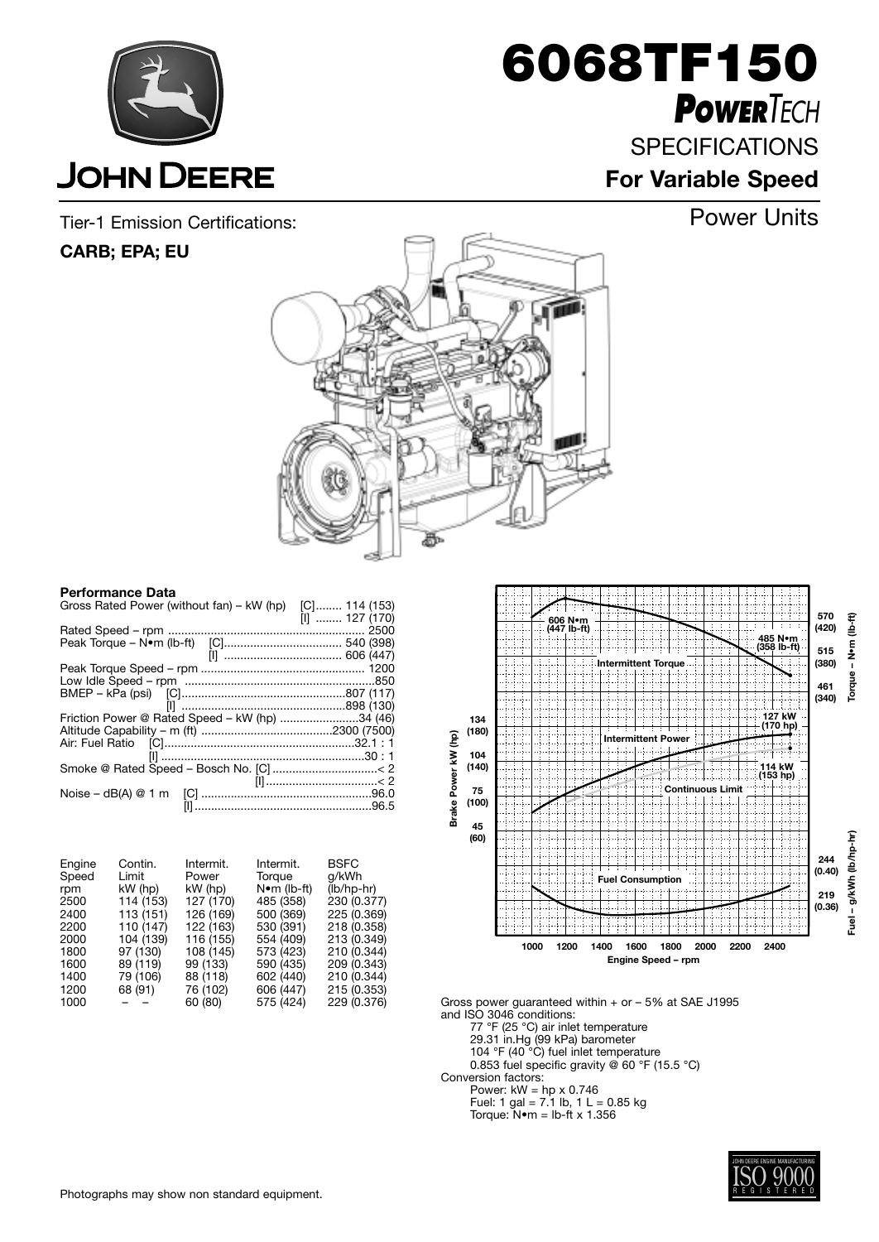

**6068TF150** *POWERTECH* **SPECIFICATIONS** 

**For Variable Speed**

Tier-1 Emission Certifications: Power Units

## **CARB; EPA; EU**



#### **Performance Data**

| Gross Rated Power (without fan) – kW (hp) [C] 114 (153) |                 |
|---------------------------------------------------------|-----------------|
|                                                         | $[1]$ 127 (170) |
|                                                         |                 |
|                                                         |                 |
|                                                         |                 |
|                                                         |                 |
|                                                         |                 |
|                                                         |                 |
|                                                         |                 |
| Friction Power @ Rated Speed – kW (hp) 34 (46)          |                 |
|                                                         |                 |
|                                                         |                 |
|                                                         |                 |
|                                                         |                 |
|                                                         |                 |
|                                                         |                 |
|                                                         |                 |
|                                                         |                 |

| Engine | Contin.   | Intermit. | Intermit.   | <b>BSFC</b>  |
|--------|-----------|-----------|-------------|--------------|
| Speed  | Limit     | Power     | Torque      | g/kWh        |
| rpm    | $kW$ (hp) | kW (hp)   | N•m (lb-ft) | $(lb/hp-hr)$ |
| 2500   | 114 (153) | 127 (170) | 485 (358)   | 230 (0.377)  |
| 2400   | 113 (151) | 126 (169) | 500 (369)   | 225 (0.369)  |
| 2200   | 110 (147) | 122 (163) | 530 (391)   | 218 (0.358)  |
| 2000   | 104 (139) | 116 (155) | 554 (409)   | 213 (0.349)  |
| 1800   | 97 (130)  | 108 (145) | 573 (423)   | 210 (0.344)  |
| 1600   | 89 (119)  | 99 (133)  | 590 (435)   | 209 (0.343)  |
| 1400   | 79 (106)  | 88 (118)  | 602 (440)   | 210 (0.344)  |
| 1200   | 68 (91)   | 76 (102)  | 606 (447)   | 215 (0.353)  |
| 1000   |           | 60 (80)   | 575 (424)   | 229 (0.376)  |



Gross power guaranteed within + or – 5% at SAE J1995 and ISO 3046 conditions:

77 °F (25 °C) air inlet temperature

29.31 in.Hg (99 kPa) barometer

104 °F (40 °C) fuel inlet temperature 0.853 fuel specific gravity @ 60 °F (15.5 °C)

Conversion factors:

Power:  $kW = hp \times 0.746$ 

Fuel: 1 gal = 7.1 lb, 1 L = 0.85 kg

Torque: N•m = lb-ft x 1.356